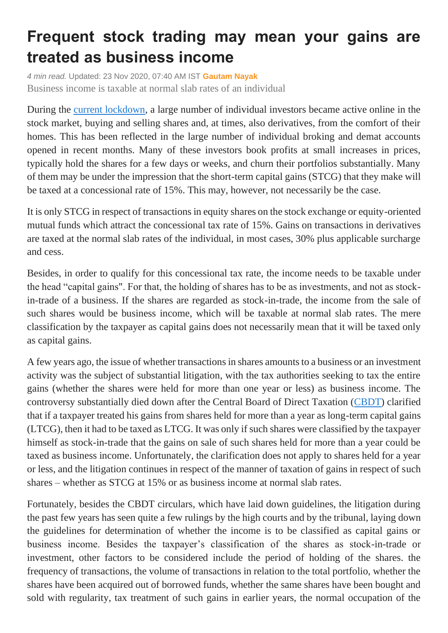## **Frequent stock trading may mean your gains are treated as business income**

*4 min read.* Updated: 23 Nov 2020, 07:40 AM IST **[Gautam Nayak](https://www.livemint.com/Search/Link/Author/Gautam-Nayak)** Business income is taxable at normal slab rates of an individual

During the [current lockdown,](https://www.livemint.com/news/india/amid-covid19-surge-here-are-the-latest-lockdown-announcements-by-states-11606035865524.html) a large number of individual investors became active online in the stock market, buying and selling shares and, at times, also derivatives, from the comfort of their homes. This has been reflected in the large number of individual broking and demat accounts opened in recent months. Many of these investors book profits at small increases in prices, typically hold the shares for a few days or weeks, and churn their portfolios substantially. Many of them may be under the impression that the short-term capital gains (STCG) that they make will be taxed at a concessional rate of 15%. This may, however, not necessarily be the case.

It is only STCG in respect of transactions in equity shares on the stock exchange or equity-oriented mutual funds which attract the concessional tax rate of 15%. Gains on transactions in derivatives are taxed at the normal slab rates of the individual, in most cases, 30% plus applicable surcharge and cess.

Besides, in order to qualify for this concessional tax rate, the income needs to be taxable under the head "capital gains". For that, the holding of shares has to be as investments, and not as stockin-trade of a business. If the shares are regarded as stock-in-trade, the income from the sale of such shares would be business income, which will be taxable at normal slab rates. The mere classification by the taxpayer as capital gains does not necessarily mean that it will be taxed only as capital gains.

A few years ago, the issue of whether transactions in shares amounts to a business or an investment activity was the subject of substantial litigation, with the tax authorities seeking to tax the entire gains (whether the shares were held for more than one year or less) as business income. The controversy substantially died down after the Central Board of Direct Taxation [\(CBDT\)](https://www.livemint.com/money/personal-finance/cbdt-issues-refunds-of-over-rs-1-29-190-cr-to-nearly-4-mn-taxpayers-since-april-11604483955060.html) clarified that if a taxpayer treated his gains from shares held for more than a year as long-term capital gains (LTCG), then it had to be taxed as LTCG. It was only if such shares were classified by the taxpayer himself as stock-in-trade that the gains on sale of such shares held for more than a year could be taxed as business income. Unfortunately, the clarification does not apply to shares held for a year or less, and the litigation continues in respect of the manner of taxation of gains in respect of such shares – whether as STCG at 15% or as business income at normal slab rates.

Fortunately, besides the CBDT circulars, which have laid down guidelines, the litigation during the past few years has seen quite a few rulings by the high courts and by the tribunal, laying down the guidelines for determination of whether the income is to be classified as capital gains or business income. Besides the taxpayer's classification of the shares as stock-in-trade or investment, other factors to be considered include the period of holding of the shares. the frequency of transactions, the volume of transactions in relation to the total portfolio, whether the shares have been acquired out of borrowed funds, whether the same shares have been bought and sold with regularity, tax treatment of such gains in earlier years, the normal occupation of the